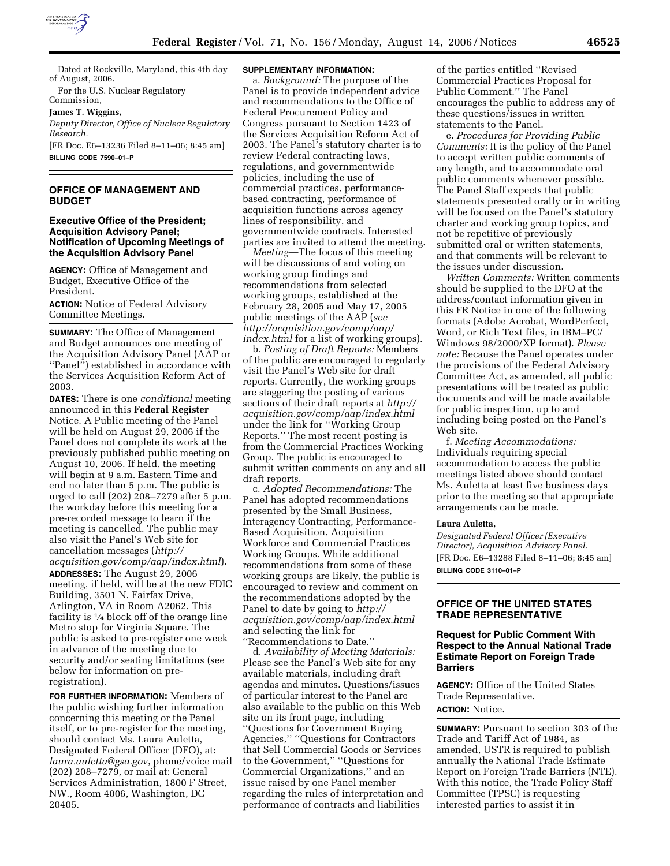

Dated at Rockville, Maryland, this 4th day of August, 2006.

For the U.S. Nuclear Regulatory Commission,

**James T. Wiggins,** 

*Deputy Director, Office of Nuclear Regulatory Research.* 

[FR Doc. E6–13236 Filed 8–11–06; 8:45 am] **BILLING CODE 7590–01–P** 

## **OFFICE OF MANAGEMENT AND BUDGET**

## **Executive Office of the President; Acquisition Advisory Panel; Notification of Upcoming Meetings of the Acquisition Advisory Panel**

**AGENCY:** Office of Management and Budget, Executive Office of the President.

**ACTION:** Notice of Federal Advisory Committee Meetings.

**SUMMARY:** The Office of Management and Budget announces one meeting of the Acquisition Advisory Panel (AAP or ''Panel'') established in accordance with the Services Acquisition Reform Act of 2003.

**DATES:** There is one *conditional* meeting announced in this **Federal Register**  Notice. A Public meeting of the Panel will be held on August 29, 2006 if the Panel does not complete its work at the previously published public meeting on August 10, 2006. If held, the meeting will begin at 9 a.m. Eastern Time and end no later than 5 p.m. The public is urged to call (202) 208–7279 after 5 p.m. the workday before this meeting for a pre-recorded message to learn if the meeting is cancelled. The public may also visit the Panel's Web site for cancellation messages (*http://* 

*acquisition.gov/comp/aap/index.html*). **ADDRESSES:** The August 29, 2006 meeting, if held, will be at the new FDIC Building, 3501 N. Fairfax Drive, Arlington, VA in Room A2062. This facility is  $\frac{1}{4}$  block off of the orange line Metro stop for Virginia Square. The public is asked to pre-register one week in advance of the meeting due to security and/or seating limitations (see below for information on preregistration).

**FOR FURTHER INFORMATION:** Members of the public wishing further information concerning this meeting or the Panel itself, or to pre-register for the meeting, should contact Ms. Laura Auletta, Designated Federal Officer (DFO), at: *laura.auletta@gsa.gov*, phone/voice mail (202) 208–7279, or mail at: General Services Administration, 1800 F Street, NW., Room 4006, Washington, DC 20405.

#### **SUPPLEMENTARY INFORMATION:**

a. *Background:* The purpose of the Panel is to provide independent advice and recommendations to the Office of Federal Procurement Policy and Congress pursuant to Section 1423 of the Services Acquisition Reform Act of 2003. The Panel's statutory charter is to review Federal contracting laws, regulations, and governmentwide policies, including the use of commercial practices, performancebased contracting, performance of acquisition functions across agency lines of responsibility, and governmentwide contracts. Interested parties are invited to attend the meeting.

*Meeting*—The focus of this meeting will be discussions of and voting on working group findings and recommendations from selected working groups, established at the February 28, 2005 and May 17, 2005 public meetings of the AAP (*see http://acquisition.gov/comp/aap/ index.html* for a list of working groups).

b. *Posting of Draft Reports:* Members of the public are encouraged to regularly visit the Panel's Web site for draft reports. Currently, the working groups are staggering the posting of various sections of their draft reports at *http:// acquisition.gov/comp/aap/index.html*  under the link for ''Working Group Reports.'' The most recent posting is from the Commercial Practices Working Group. The public is encouraged to submit written comments on any and all draft reports.

c. *Adopted Recommendations:* The Panel has adopted recommendations presented by the Small Business, Interagency Contracting, Performance-Based Acquisition, Acquisition Workforce and Commercial Practices Working Groups. While additional recommendations from some of these working groups are likely, the public is encouraged to review and comment on the recommendations adopted by the Panel to date by going to *http:// acquisition.gov/comp/aap/index.html*  and selecting the link for ''Recommendations to Date.''

d. *Availability of Meeting Materials:*  Please see the Panel's Web site for any available materials, including draft agendas and minutes. Questions/issues of particular interest to the Panel are also available to the public on this Web site on its front page, including ''Questions for Government Buying Agencies,'' ''Questions for Contractors that Sell Commercial Goods or Services to the Government,'' ''Questions for Commercial Organizations,'' and an issue raised by one Panel member regarding the rules of interpretation and performance of contracts and liabilities

of the parties entitled ''Revised Commercial Practices Proposal for Public Comment.'' The Panel encourages the public to address any of these questions/issues in written statements to the Panel.

e. *Procedures for Providing Public Comments:* It is the policy of the Panel to accept written public comments of any length, and to accommodate oral public comments whenever possible. The Panel Staff expects that public statements presented orally or in writing will be focused on the Panel's statutory charter and working group topics, and not be repetitive of previously submitted oral or written statements, and that comments will be relevant to the issues under discussion.

*Written Comments:* Written comments should be supplied to the DFO at the address/contact information given in this FR Notice in one of the following formats (Adobe Acrobat, WordPerfect, Word, or Rich Text files, in IBM–PC/ Windows 98/2000/XP format). *Please note:* Because the Panel operates under the provisions of the Federal Advisory Committee Act, as amended, all public presentations will be treated as public documents and will be made available for public inspection, up to and including being posted on the Panel's Web site.

f. *Meeting Accommodations:*  Individuals requiring special accommodation to access the public meetings listed above should contact Ms. Auletta at least five business days prior to the meeting so that appropriate arrangements can be made.

#### **Laura Auletta,**

*Designated Federal Officer (Executive Director), Acquisition Advisory Panel.*  [FR Doc. E6–13288 Filed 8–11–06; 8:45 am] **BILLING CODE 3110–01–P** 

## **OFFICE OF THE UNITED STATES TRADE REPRESENTATIVE**

## **Request for Public Comment With Respect to the Annual National Trade Estimate Report on Foreign Trade Barriers**

**AGENCY:** Office of the United States Trade Representative. **ACTION:** Notice.

**SUMMARY:** Pursuant to section 303 of the Trade and Tariff Act of 1984, as amended, USTR is required to publish annually the National Trade Estimate Report on Foreign Trade Barriers (NTE). With this notice, the Trade Policy Staff Committee (TPSC) is requesting interested parties to assist it in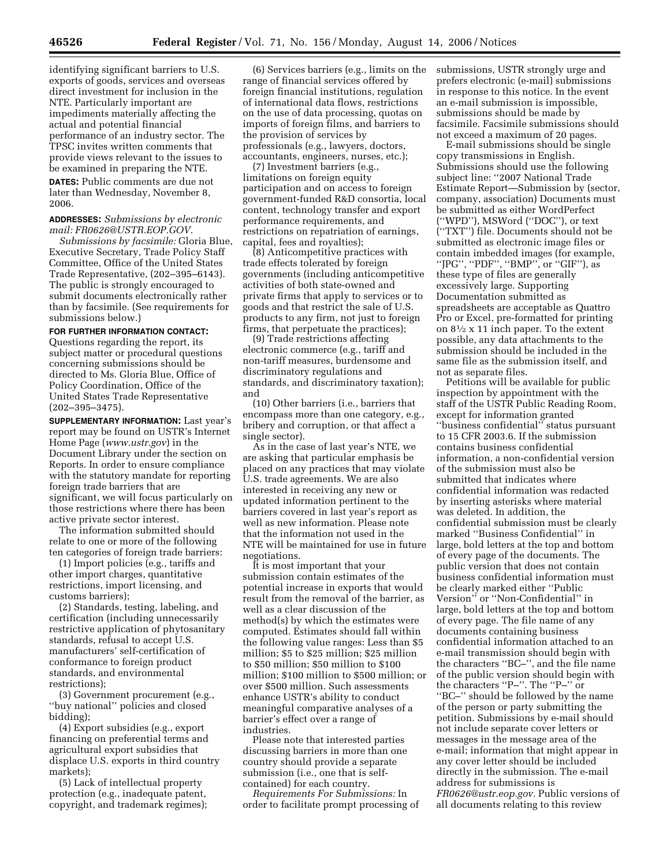identifying significant barriers to U.S. exports of goods, services and overseas direct investment for inclusion in the NTE. Particularly important are impediments materially affecting the actual and potential financial performance of an industry sector. The TPSC invites written comments that provide views relevant to the issues to be examined in preparing the NTE.

**DATES:** Public comments are due not later than Wednesday, November 8, 2006.

#### **ADDRESSES:** *Submissions by electronic mail: FR0626@USTR.EOP.GOV*.

*Submissions by facsimile:* Gloria Blue, Executive Secretary, Trade Policy Staff Committee, Office of the United States Trade Representative, (202–395–6143). The public is strongly encouraged to submit documents electronically rather than by facsimile. (See requirements for submissions below.)

# **FOR FURTHER INFORMATION CONTACT:**

Questions regarding the report, its subject matter or procedural questions concerning submissions should be directed to Ms. Gloria Blue, Office of Policy Coordination, Office of the United States Trade Representative (202–395–3475).

**SUPPLEMENTARY INFORMATION:** Last year's report may be found on USTR's Internet Home Page (*www.ustr.gov*) in the Document Library under the section on Reports. In order to ensure compliance with the statutory mandate for reporting foreign trade barriers that are significant, we will focus particularly on those restrictions where there has been active private sector interest.

The information submitted should relate to one or more of the following ten categories of foreign trade barriers:

(1) Import policies (e.g., tariffs and other import charges, quantitative restrictions, import licensing, and customs barriers);

(2) Standards, testing, labeling, and certification (including unnecessarily restrictive application of phytosanitary standards, refusal to accept U.S. manufacturers' self-certification of conformance to foreign product standards, and environmental restrictions);

(3) Government procurement (e.g., ''buy national'' policies and closed bidding);

(4) Export subsidies (e.g., export financing on preferential terms and agricultural export subsidies that displace U.S. exports in third country markets);

(5) Lack of intellectual property protection (e.g., inadequate patent, copyright, and trademark regimes);

(6) Services barriers (e.g., limits on the range of financial services offered by foreign financial institutions, regulation of international data flows, restrictions on the use of data processing, quotas on imports of foreign films, and barriers to the provision of services by professionals (e.g., lawyers, doctors, accountants, engineers, nurses, etc.);

(7) Investment barriers (e.g., limitations on foreign equity participation and on access to foreign government-funded R&D consortia, local content, technology transfer and export performance requirements, and restrictions on repatriation of earnings, capital, fees and royalties);

(8) Anticompetitive practices with trade effects tolerated by foreign governments (including anticompetitive activities of both state-owned and private firms that apply to services or to goods and that restrict the sale of U.S. products to any firm, not just to foreign firms, that perpetuate the practices);

(9) Trade restrictions affecting electronic commerce (e.g., tariff and non-tariff measures, burdensome and discriminatory regulations and standards, and discriminatory taxation); and

(10) Other barriers (i.e., barriers that encompass more than one category, e.g., bribery and corruption, or that affect a single sector).

As in the case of last year's NTE, we are asking that particular emphasis be placed on any practices that may violate U.S. trade agreements. We are also interested in receiving any new or updated information pertinent to the barriers covered in last year's report as well as new information. Please note that the information not used in the NTE will be maintained for use in future negotiations.

It is most important that your submission contain estimates of the potential increase in exports that would result from the removal of the barrier, as well as a clear discussion of the method(s) by which the estimates were computed. Estimates should fall within the following value ranges: Less than \$5 million; \$5 to \$25 million; \$25 million to \$50 million; \$50 million to \$100 million; \$100 million to \$500 million; or over \$500 million. Such assessments enhance USTR's ability to conduct meaningful comparative analyses of a barrier's effect over a range of industries.

Please note that interested parties discussing barriers in more than one country should provide a separate submission (i.e., one that is selfcontained) for each country.

*Requirements For Submissions:* In order to facilitate prompt processing of submissions, USTR strongly urge and prefers electronic (e-mail) submissions in response to this notice. In the event an e-mail submission is impossible, submissions should be made by facsimile. Facsimile submissions should not exceed a maximum of 20 pages.

E-mail submissions should be single copy transmissions in English. Submissions should use the following subject line: ''2007 National Trade Estimate Report—Submission by (sector, company, association) Documents must be submitted as either WordPerfect (''WPD''), MSWord (''DOC''), or text (''TXT'') file. Documents should not be submitted as electronic image files or contain imbedded images (for example, "JPG", "PDF", "BMP", or "GIF"), as these type of files are generally excessively large. Supporting Documentation submitted as spreadsheets are acceptable as Quattro Pro or Excel, pre-formatted for printing on 81⁄2 x 11 inch paper. To the extent possible, any data attachments to the submission should be included in the same file as the submission itself, and not as separate files.

Petitions will be available for public inspection by appointment with the staff of the USTR Public Reading Room, except for information granted ''business confidential'' status pursuant to 15 CFR 2003.6. If the submission contains business confidential information, a non-confidential version of the submission must also be submitted that indicates where confidential information was redacted by inserting asterisks where material was deleted. In addition, the confidential submission must be clearly marked ''Business Confidential'' in large, bold letters at the top and bottom of every page of the documents. The public version that does not contain business confidential information must be clearly marked either ''Public Version'' or ''Non-Confidential'' in large, bold letters at the top and bottom of every page. The file name of any documents containing business confidential information attached to an e-mail transmission should begin with the characters ''BC–'', and the file name of the public version should begin with the characters ''P–''. The ''P–'' or ''BC–'' should be followed by the name of the person or party submitting the petition. Submissions by e-mail should not include separate cover letters or messages in the message area of the e-mail; information that might appear in any cover letter should be included directly in the submission. The e-mail address for submissions is *FR0626@ustr.eop.gov.* Public versions of all documents relating to this review